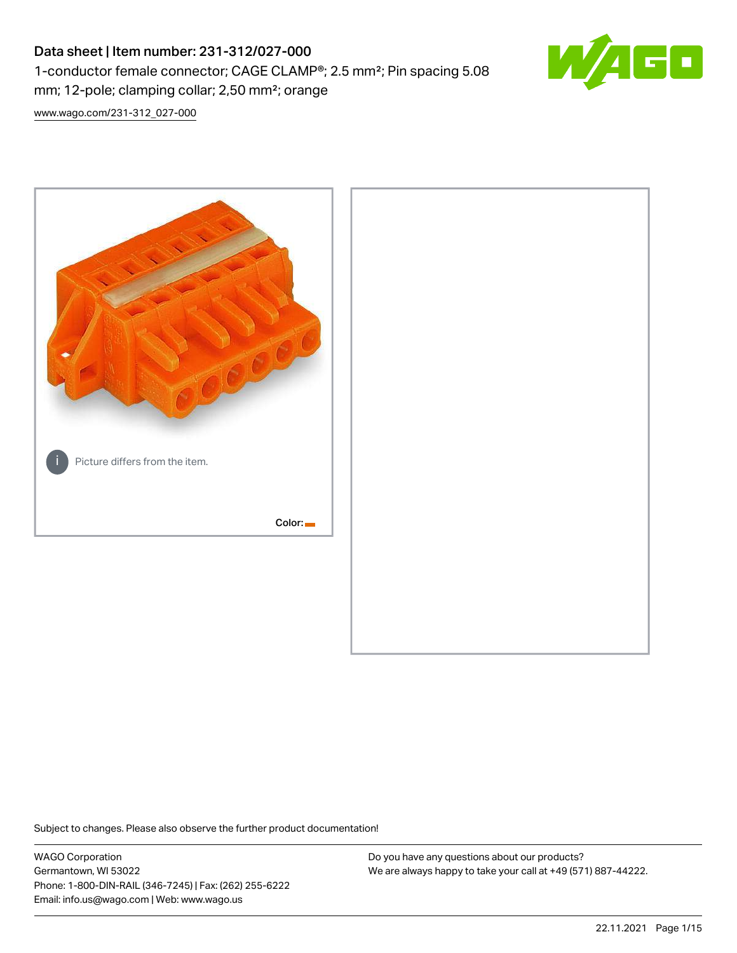# Data sheet | Item number: 231-312/027-000 1-conductor female connector; CAGE CLAMP®; 2.5 mm²; Pin spacing 5.08 mm; 12-pole; clamping collar; 2,50 mm²; orange



[www.wago.com/231-312\\_027-000](http://www.wago.com/231-312_027-000)



Subject to changes. Please also observe the further product documentation!

WAGO Corporation Germantown, WI 53022 Phone: 1-800-DIN-RAIL (346-7245) | Fax: (262) 255-6222 Email: info.us@wago.com | Web: www.wago.us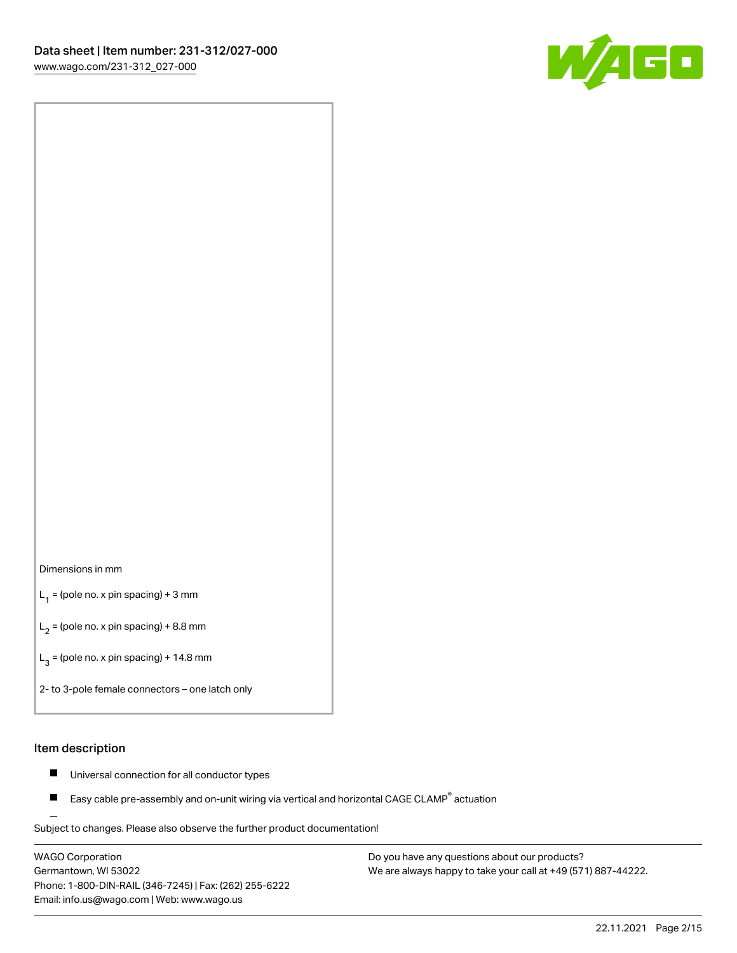

#### Dimensions in mm

 $L_1$  = (pole no. x pin spacing) + 3 mm

 $L_2$  = (pole no. x pin spacing) + 8.8 mm

 $L_3$  = (pole no. x pin spacing) + 14.8 mm

2- to 3-pole female connectors – one latch only

#### Item description

- $\blacksquare$ Universal connection for all conductor types
- Easy cable pre-assembly and on-unit wiring via vertical and horizontal CAGE CLAMP<sup>®</sup> actuation П

.<br>Subject to changes. Please also observe the further product documentation!

WAGO Corporation Germantown, WI 53022 Phone: 1-800-DIN-RAIL (346-7245) | Fax: (262) 255-6222 Email: info.us@wago.com | Web: www.wago.us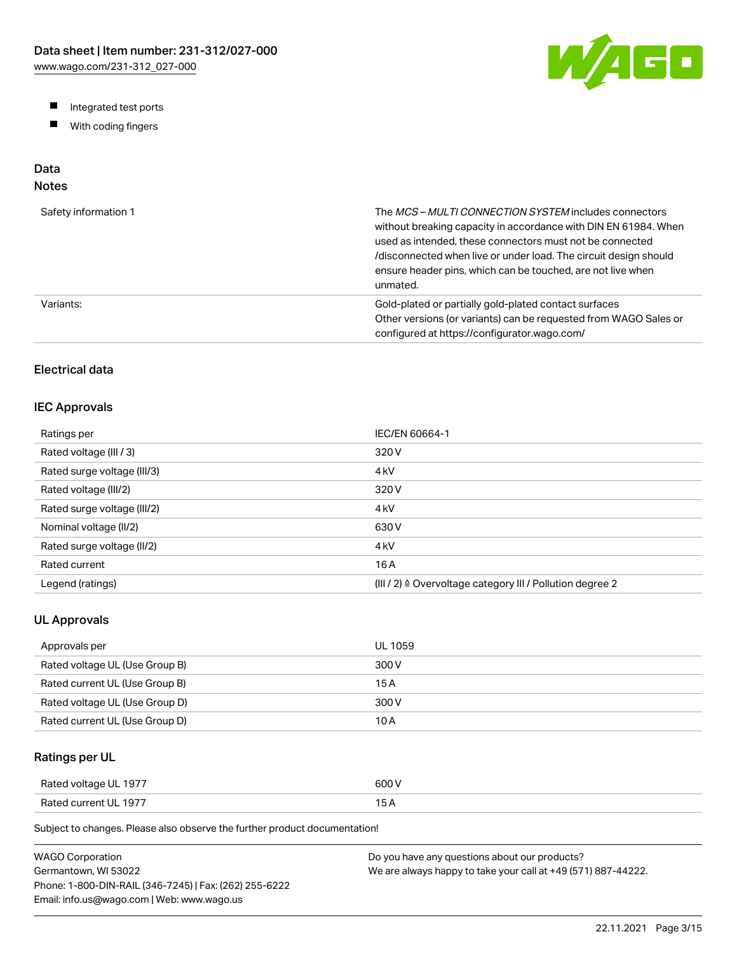W/AGO

- Integrated test ports
- $\blacksquare$ With coding fingers

# Data

# Notes

| Safety information 1 | The MCS-MULTI CONNECTION SYSTEM includes connectors<br>without breaking capacity in accordance with DIN EN 61984. When<br>used as intended, these connectors must not be connected<br>/disconnected when live or under load. The circuit design should<br>ensure header pins, which can be touched, are not live when<br>unmated. |
|----------------------|-----------------------------------------------------------------------------------------------------------------------------------------------------------------------------------------------------------------------------------------------------------------------------------------------------------------------------------|
| Variants:            | Gold-plated or partially gold-plated contact surfaces<br>Other versions (or variants) can be requested from WAGO Sales or<br>configured at https://configurator.wago.com/                                                                                                                                                         |

# Electrical data

### IEC Approvals

| Ratings per                 | IEC/EN 60664-1                                                        |
|-----------------------------|-----------------------------------------------------------------------|
| Rated voltage (III / 3)     | 320 V                                                                 |
| Rated surge voltage (III/3) | 4 <sub>kV</sub>                                                       |
| Rated voltage (III/2)       | 320 V                                                                 |
| Rated surge voltage (III/2) | 4 <sub>k</sub> V                                                      |
| Nominal voltage (II/2)      | 630 V                                                                 |
| Rated surge voltage (II/2)  | 4 <sub>k</sub> V                                                      |
| Rated current               | 16 A                                                                  |
| Legend (ratings)            | $(III / 2)$ $\triangle$ Overvoltage category III / Pollution degree 2 |

## UL Approvals

| Approvals per                  | <b>UL 1059</b> |
|--------------------------------|----------------|
| Rated voltage UL (Use Group B) | 300 V          |
| Rated current UL (Use Group B) | 15 A           |
| Rated voltage UL (Use Group D) | 300 V          |
| Rated current UL (Use Group D) | 10 A           |

## Ratings per UL

| Rated voltage UL 1977 | 600 V  |
|-----------------------|--------|
| Rated current UL 1977 | $\sim$ |

| WAGO Corporation                                       | Do you have any questions about our products?                 |
|--------------------------------------------------------|---------------------------------------------------------------|
| Germantown. WI 53022                                   | We are always happy to take your call at +49 (571) 887-44222. |
| Phone: 1-800-DIN-RAIL (346-7245)   Fax: (262) 255-6222 |                                                               |
| Email: info.us@wago.com   Web: www.wago.us             |                                                               |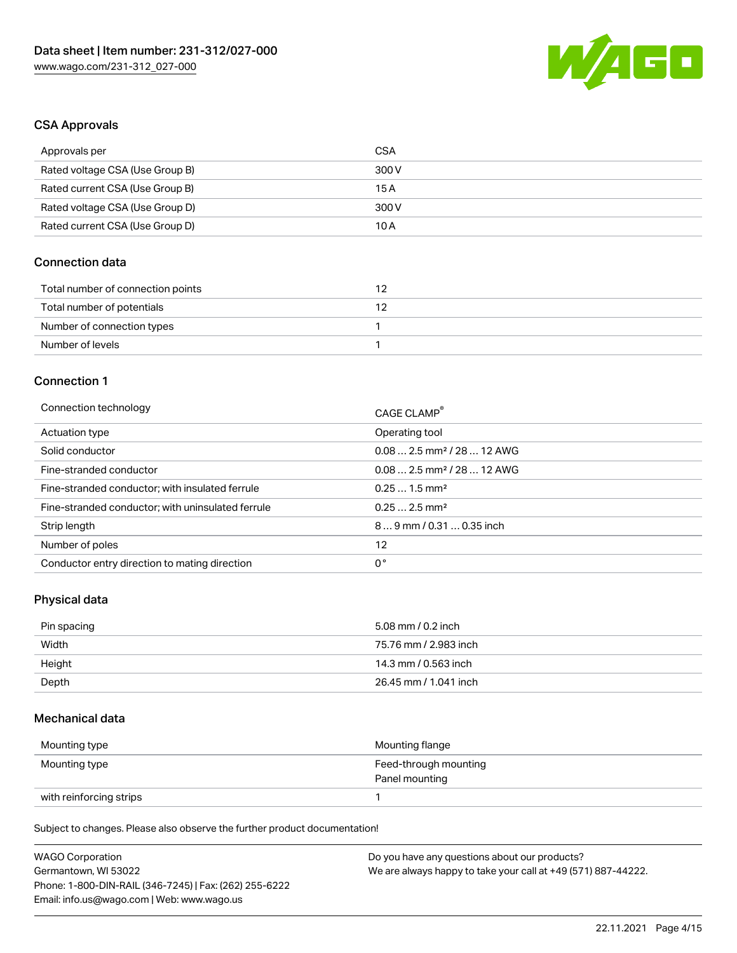

#### CSA Approvals

| Approvals per                   | CSA   |
|---------------------------------|-------|
| Rated voltage CSA (Use Group B) | 300 V |
| Rated current CSA (Use Group B) | 15 A  |
| Rated voltage CSA (Use Group D) | 300 V |
| Rated current CSA (Use Group D) | 10 A  |

# Connection data

| Total number of connection points |  |
|-----------------------------------|--|
| Total number of potentials        |  |
| Number of connection types        |  |
| Number of levels                  |  |

#### Connection 1

| Connection technology                             | CAGE CLAMP®                            |
|---------------------------------------------------|----------------------------------------|
| Actuation type                                    | Operating tool                         |
| Solid conductor                                   | $0.082.5$ mm <sup>2</sup> / 28  12 AWG |
| Fine-stranded conductor                           | $0.082.5$ mm <sup>2</sup> / 28  12 AWG |
| Fine-stranded conductor; with insulated ferrule   | $0.251.5$ mm <sup>2</sup>              |
| Fine-stranded conductor; with uninsulated ferrule | $0.252.5$ mm <sup>2</sup>              |
| Strip length                                      | $89$ mm / 0.31  0.35 inch              |
| Number of poles                                   | 12                                     |
| Conductor entry direction to mating direction     | 0°                                     |

# Physical data

| Pin spacing | 5.08 mm / 0.2 inch    |
|-------------|-----------------------|
| Width       | 75.76 mm / 2.983 inch |
| Height      | 14.3 mm / 0.563 inch  |
| Depth       | 26.45 mm / 1.041 inch |

#### Mechanical data

| Mounting type           | Mounting flange                         |
|-------------------------|-----------------------------------------|
| Mounting type           | Feed-through mounting<br>Panel mounting |
| with reinforcing strips |                                         |

| <b>WAGO Corporation</b>                                | Do you have any questions about our products?                 |
|--------------------------------------------------------|---------------------------------------------------------------|
| Germantown, WI 53022                                   | We are always happy to take your call at +49 (571) 887-44222. |
| Phone: 1-800-DIN-RAIL (346-7245)   Fax: (262) 255-6222 |                                                               |
| Email: info.us@wago.com   Web: www.wago.us             |                                                               |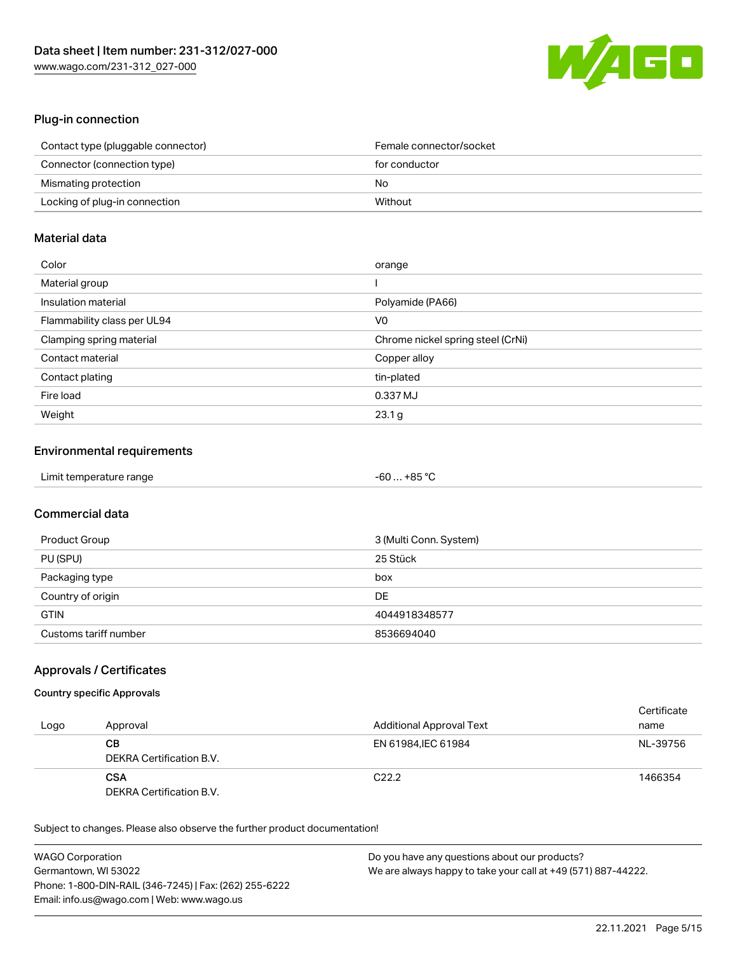

# Plug-in connection

| Contact type (pluggable connector) | Female connector/socket |
|------------------------------------|-------------------------|
| Connector (connection type)        | for conductor           |
| Mismating protection               | No                      |
| Locking of plug-in connection      | Without                 |

# Material data

| Color                       | orange                            |
|-----------------------------|-----------------------------------|
| Material group              |                                   |
| Insulation material         | Polyamide (PA66)                  |
| Flammability class per UL94 | V0                                |
| Clamping spring material    | Chrome nickel spring steel (CrNi) |
| Contact material            | Copper alloy                      |
| Contact plating             | tin-plated                        |
| Fire load                   | 0.337 MJ                          |
| Weight                      | 23.1 g                            |

## Environmental requirements

| Limit temperature range | $-60+85 °C$ |
|-------------------------|-------------|
|-------------------------|-------------|

# Commercial data

| Product Group         | 3 (Multi Conn. System) |
|-----------------------|------------------------|
| PU (SPU)              | 25 Stück               |
| Packaging type        | box                    |
| Country of origin     | DE                     |
| <b>GTIN</b>           | 4044918348577          |
| Customs tariff number | 8536694040             |

### Approvals / Certificates

#### Country specific Approvals

| Logo | Approval                               | <b>Additional Approval Text</b> | Certificate<br>name |
|------|----------------------------------------|---------------------------------|---------------------|
|      | CВ<br>DEKRA Certification B.V.         | EN 61984. IEC 61984             | NL-39756            |
|      | <b>CSA</b><br>DEKRA Certification B.V. | C <sub>22.2</sub>               | 1466354             |

| <b>WAGO Corporation</b>                                | Do you have any questions about our products?                 |
|--------------------------------------------------------|---------------------------------------------------------------|
| Germantown, WI 53022                                   | We are always happy to take your call at +49 (571) 887-44222. |
| Phone: 1-800-DIN-RAIL (346-7245)   Fax: (262) 255-6222 |                                                               |
| Email: info.us@wago.com   Web: www.wago.us             |                                                               |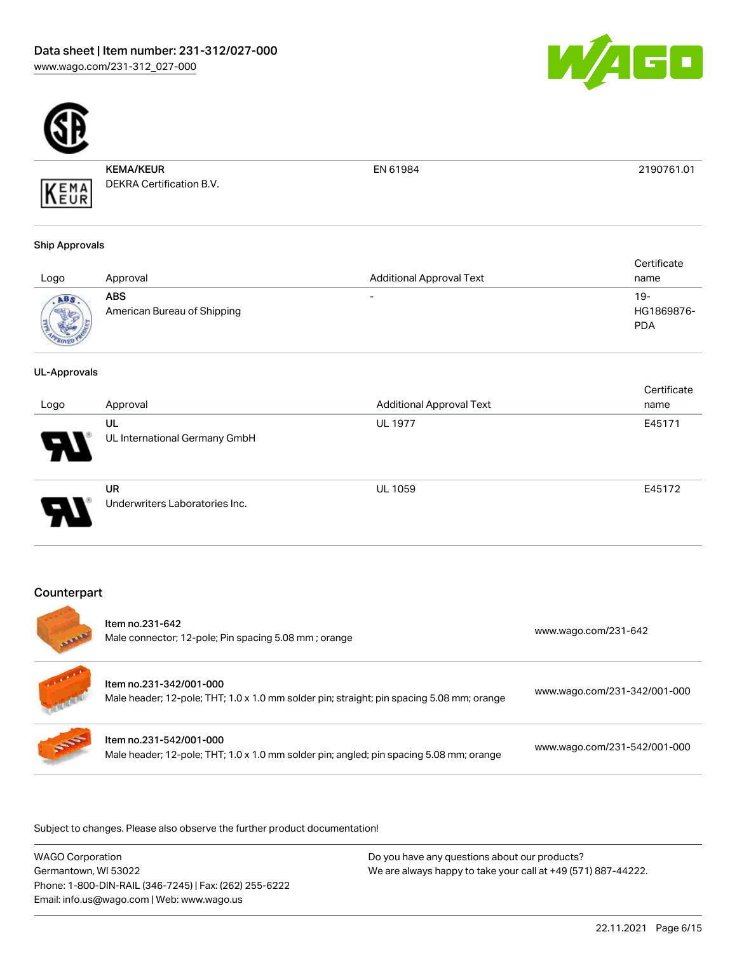



KEMA/KEUR DEKRA Certification B.V. EN 61984 2190761.01

# Ship Approvals

KEMA

| Logo | Approval                                  | <b>Additional Approval Text</b> | Certificate<br>name             |
|------|-------------------------------------------|---------------------------------|---------------------------------|
| ABS  | <b>ABS</b><br>American Bureau of Shipping | $\overline{\phantom{0}}$        | 19-<br>HG1869876-<br><b>PDA</b> |

#### UL-Approvals

| Logo | Approval                             | <b>Additional Approval Text</b> | Certificate<br>name |
|------|--------------------------------------|---------------------------------|---------------------|
| 8    | UL<br>UL International Germany GmbH  | <b>UL 1977</b>                  | E45171              |
| o    | UR<br>Underwriters Laboratories Inc. | <b>UL 1059</b>                  | E45172              |

# **Counterpart**

| <b>STATISTICS</b> | Item no.231-642<br>Male connector; 12-pole; Pin spacing 5.08 mm; orange                                              | www.wago.com/231-642         |
|-------------------|----------------------------------------------------------------------------------------------------------------------|------------------------------|
|                   | Item no.231-342/001-000<br>Male header; 12-pole; THT; 1.0 x 1.0 mm solder pin; straight; pin spacing 5.08 mm; orange | www.wago.com/231-342/001-000 |
| <b>SOF</b>        | Item no.231-542/001-000<br>Male header; 12-pole; THT; 1.0 x 1.0 mm solder pin; angled; pin spacing 5.08 mm; orange   | www.wago.com/231-542/001-000 |

.<br>Subject to changes. Please also observe the further product documentation!

WAGO Corporation Germantown, WI 53022 Phone: 1-800-DIN-RAIL (346-7245) | Fax: (262) 255-6222 Email: info.us@wago.com | Web: www.wago.us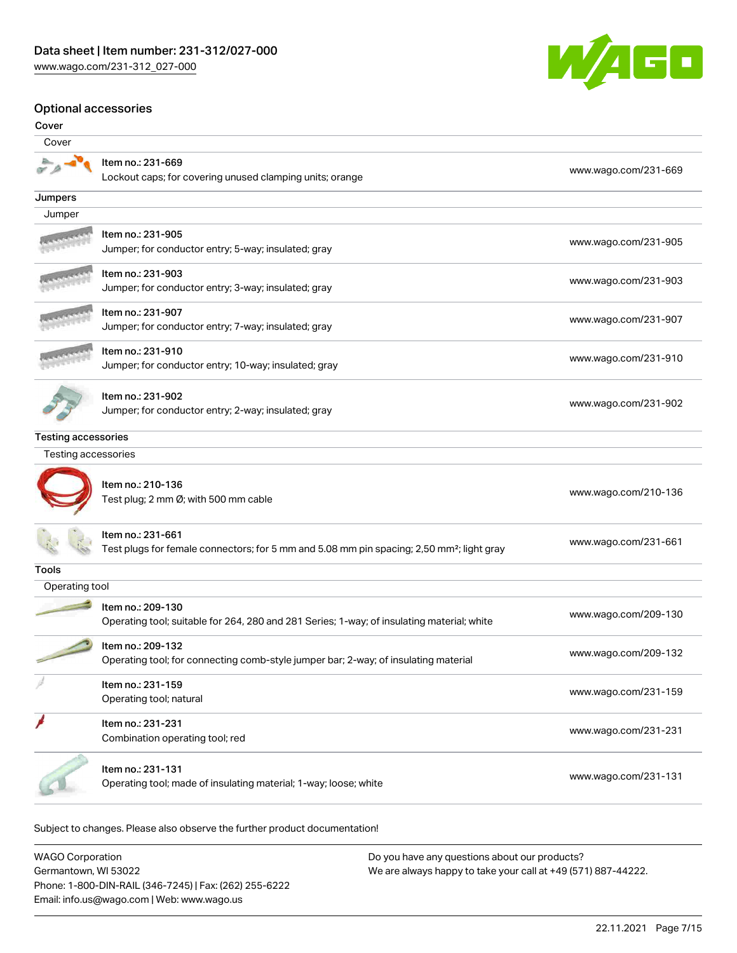

#### Optional accessories

| Cover                      |                                                                                                                            |                      |
|----------------------------|----------------------------------------------------------------------------------------------------------------------------|----------------------|
| Cover                      |                                                                                                                            |                      |
|                            | Item no.: 231-669<br>Lockout caps; for covering unused clamping units; orange                                              | www.wago.com/231-669 |
| Jumpers                    |                                                                                                                            |                      |
| Jumper                     |                                                                                                                            |                      |
|                            | ltem no.: 231-905<br>Jumper; for conductor entry; 5-way; insulated; gray                                                   | www.wago.com/231-905 |
|                            | Item no.: 231-903<br>Jumper; for conductor entry; 3-way; insulated; gray                                                   | www.wago.com/231-903 |
|                            | Item no.: 231-907<br>Jumper; for conductor entry; 7-way; insulated; gray                                                   | www.wago.com/231-907 |
|                            | Item no.: 231-910<br>Jumper; for conductor entry; 10-way; insulated; gray                                                  | www.wago.com/231-910 |
|                            | Item no.: 231-902<br>Jumper; for conductor entry; 2-way; insulated; gray                                                   | www.wago.com/231-902 |
| <b>Testing accessories</b> |                                                                                                                            |                      |
| Testing accessories        |                                                                                                                            |                      |
|                            | Item no.: 210-136<br>Test plug; 2 mm Ø; with 500 mm cable                                                                  | www.wago.com/210-136 |
|                            | Item no.: 231-661<br>Test plugs for female connectors; for 5 mm and 5.08 mm pin spacing; 2,50 mm <sup>2</sup> ; light gray | www.wago.com/231-661 |
| <b>Tools</b>               |                                                                                                                            |                      |
| Operating tool             |                                                                                                                            |                      |
|                            | Item no.: 209-130<br>Operating tool; suitable for 264, 280 and 281 Series; 1-way; of insulating material; white            | www.wago.com/209-130 |
|                            | Item no.: 209-132<br>Operating tool; for connecting comb-style jumper bar; 2-way; of insulating material                   | www.wago.com/209-132 |
|                            | Item no.: 231-159<br>Operating tool; natural                                                                               | www.wago.com/231-159 |
|                            | Item no.: 231-231<br>Combination operating tool; red                                                                       | www.wago.com/231-231 |
|                            | Item no.: 231-131<br>Operating tool; made of insulating material; 1-way; loose; white                                      | www.wago.com/231-131 |

Subject to changes. Please also observe the further product documentation!

WAGO Corporation Germantown, WI 53022 Phone: 1-800-DIN-RAIL (346-7245) | Fax: (262) 255-6222 Email: info.us@wago.com | Web: www.wago.us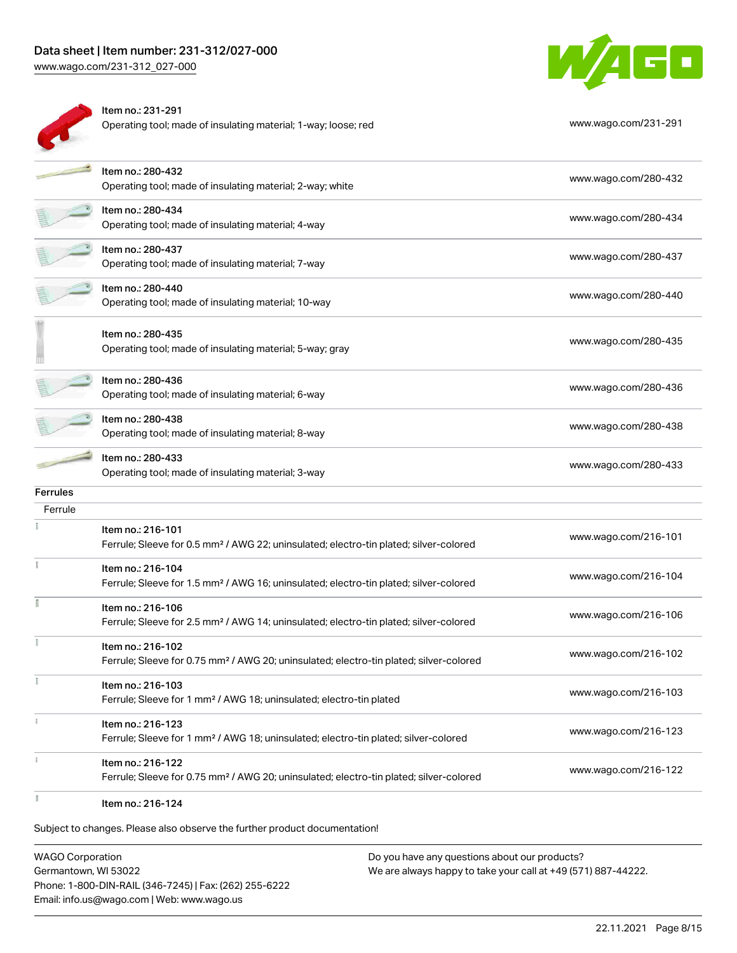# Data sheet | Item number: 231-312/027-000

[www.wago.com/231-312\\_027-000](http://www.wago.com/231-312_027-000)



|                            | Item no.: 231-291<br>Operating tool; made of insulating material; 1-way; loose; red                                     | www.wago.com/231-291 |
|----------------------------|-------------------------------------------------------------------------------------------------------------------------|----------------------|
|                            | Item no.: 280-432<br>Operating tool; made of insulating material; 2-way; white                                          | www.wago.com/280-432 |
|                            | Item no.: 280-434<br>Operating tool; made of insulating material; 4-way                                                 | www.wago.com/280-434 |
|                            | Item no.: 280-437<br>Operating tool; made of insulating material; 7-way                                                 | www.wago.com/280-437 |
|                            | Item no.: 280-440<br>Operating tool; made of insulating material; 10-way                                                | www.wago.com/280-440 |
|                            | Item no.: 280-435<br>Operating tool; made of insulating material; 5-way; gray                                           | www.wago.com/280-435 |
|                            | Item no.: 280-436<br>Operating tool; made of insulating material; 6-way                                                 | www.wago.com/280-436 |
|                            | Item no.: 280-438<br>Operating tool; made of insulating material; 8-way                                                 | www.wago.com/280-438 |
|                            | Item no.: 280-433<br>Operating tool; made of insulating material; 3-way                                                 | www.wago.com/280-433 |
| <b>Ferrules</b><br>Ferrule |                                                                                                                         |                      |
|                            | Item no.: 216-101<br>Ferrule; Sleeve for 0.5 mm <sup>2</sup> / AWG 22; uninsulated; electro-tin plated; silver-colored  | www.wago.com/216-101 |
|                            | Item no.: 216-104<br>Ferrule; Sleeve for 1.5 mm <sup>2</sup> / AWG 16; uninsulated; electro-tin plated; silver-colored  | www.wago.com/216-104 |
|                            | Item no.: 216-106<br>Ferrule; Sleeve for 2.5 mm <sup>2</sup> / AWG 14; uninsulated; electro-tin plated; silver-colored  | www.wago.com/216-106 |
|                            | Item no.: 216-102<br>Ferrule; Sleeve for 0.75 mm <sup>2</sup> / AWG 20; uninsulated; electro-tin plated; silver-colored | www.wago.com/216-102 |
|                            | Item no.: 216-103<br>Ferrule; Sleeve for 1 mm <sup>2</sup> / AWG 18; uninsulated; electro-tin plated                    | www.wago.com/216-103 |
|                            | Item no.: 216-123<br>Ferrule; Sleeve for 1 mm <sup>2</sup> / AWG 18; uninsulated; electro-tin plated; silver-colored    | www.wago.com/216-123 |
|                            | Item no.: 216-122<br>Ferrule; Sleeve for 0.75 mm <sup>2</sup> / AWG 20; uninsulated; electro-tin plated; silver-colored | www.wago.com/216-122 |
|                            | Item no.: 216-124                                                                                                       |                      |

Subject to changes. Please also observe the further product documentation!

WAGO Corporation Germantown, WI 53022 Phone: 1-800-DIN-RAIL (346-7245) | Fax: (262) 255-6222 Email: info.us@wago.com | Web: www.wago.us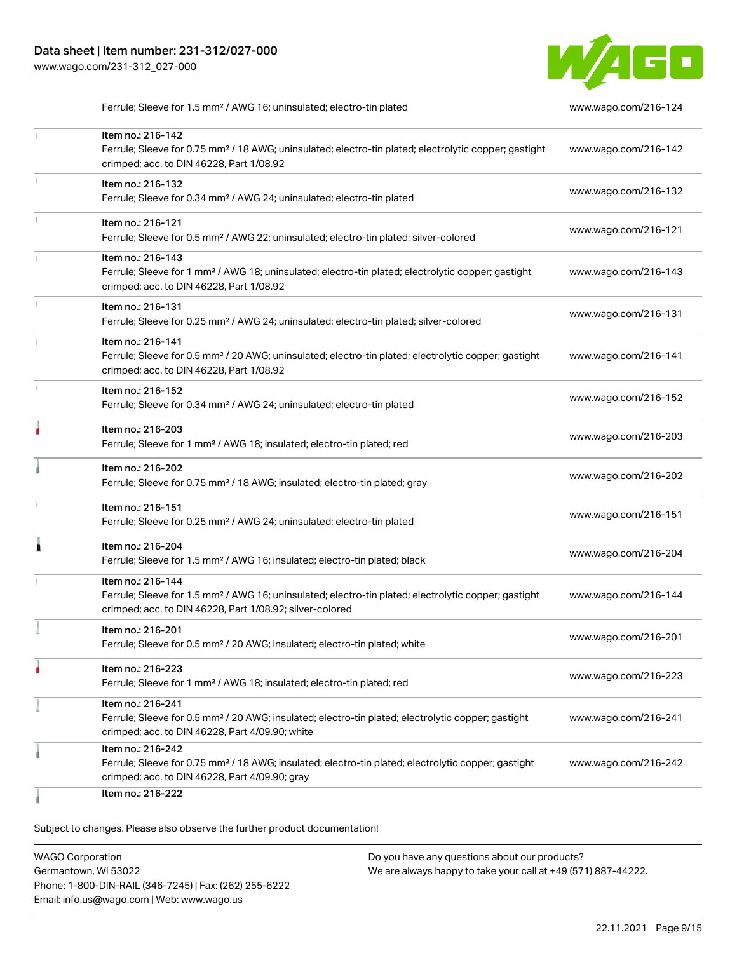

Ferrule; Sleeve for 1.5 mm<sup>2</sup> / AWG 16; uninsulated; electro-tin plated [www.wago.com/216-124](http://www.wago.com/216-124)

|    | Item no.: 216-142<br>Ferrule; Sleeve for 0.75 mm <sup>2</sup> / 18 AWG; uninsulated; electro-tin plated; electrolytic copper; gastight<br>crimped; acc. to DIN 46228, Part 1/08.92                | www.wago.com/216-142 |
|----|---------------------------------------------------------------------------------------------------------------------------------------------------------------------------------------------------|----------------------|
|    | Item no.: 216-132<br>Ferrule; Sleeve for 0.34 mm <sup>2</sup> / AWG 24; uninsulated; electro-tin plated                                                                                           | www.wago.com/216-132 |
|    | Item no.: 216-121<br>Ferrule; Sleeve for 0.5 mm <sup>2</sup> / AWG 22; uninsulated; electro-tin plated; silver-colored                                                                            | www.wago.com/216-121 |
|    | Item no.: 216-143<br>Ferrule; Sleeve for 1 mm <sup>2</sup> / AWG 18; uninsulated; electro-tin plated; electrolytic copper; gastight<br>crimped; acc. to DIN 46228, Part 1/08.92                   | www.wago.com/216-143 |
|    | Item no.: 216-131<br>Ferrule; Sleeve for 0.25 mm <sup>2</sup> / AWG 24; uninsulated; electro-tin plated; silver-colored                                                                           | www.wago.com/216-131 |
|    | Item no.: 216-141<br>Ferrule; Sleeve for 0.5 mm <sup>2</sup> / 20 AWG; uninsulated; electro-tin plated; electrolytic copper; gastight<br>crimped; acc. to DIN 46228, Part 1/08.92                 | www.wago.com/216-141 |
| z. | Item no.: 216-152<br>Ferrule; Sleeve for 0.34 mm <sup>2</sup> / AWG 24; uninsulated; electro-tin plated                                                                                           | www.wago.com/216-152 |
|    | Item no.: 216-203<br>Ferrule; Sleeve for 1 mm <sup>2</sup> / AWG 18; insulated; electro-tin plated; red                                                                                           | www.wago.com/216-203 |
|    | Item no.: 216-202<br>Ferrule; Sleeve for 0.75 mm <sup>2</sup> / 18 AWG; insulated; electro-tin plated; gray                                                                                       | www.wago.com/216-202 |
|    | Item no.: 216-151<br>Ferrule; Sleeve for 0.25 mm <sup>2</sup> / AWG 24; uninsulated; electro-tin plated                                                                                           | www.wago.com/216-151 |
|    | Item no.: 216-204<br>Ferrule; Sleeve for 1.5 mm <sup>2</sup> / AWG 16; insulated; electro-tin plated; black                                                                                       | www.wago.com/216-204 |
|    | Item no.: 216-144<br>Ferrule; Sleeve for 1.5 mm <sup>2</sup> / AWG 16; uninsulated; electro-tin plated; electrolytic copper; gastight<br>crimped; acc. to DIN 46228, Part 1/08.92; silver-colored | www.wago.com/216-144 |
|    | Item no.: 216-201<br>Ferrule; Sleeve for 0.5 mm <sup>2</sup> / 20 AWG; insulated; electro-tin plated; white                                                                                       | www.wago.com/216-201 |
|    | ltem no.: 216-223<br>Ferrule; Sleeve for 1 mm <sup>2</sup> / AWG 18; insulated; electro-tin plated; red                                                                                           | www.wago.com/216-223 |
|    | Item no.: 216-241<br>Ferrule; Sleeve for 0.5 mm <sup>2</sup> / 20 AWG; insulated; electro-tin plated; electrolytic copper; gastight<br>crimped; acc. to DIN 46228, Part 4/09.90; white            | www.wago.com/216-241 |
|    | Item no.: 216-242<br>Ferrule; Sleeve for 0.75 mm <sup>2</sup> / 18 AWG; insulated; electro-tin plated; electrolytic copper; gastight<br>crimped; acc. to DIN 46228, Part 4/09.90; gray            | www.wago.com/216-242 |
|    | Item no.: 216-222                                                                                                                                                                                 |                      |

| <b>WAGO Corporation</b>                                | Do you have any questions about our products?                 |
|--------------------------------------------------------|---------------------------------------------------------------|
| Germantown, WI 53022                                   | We are always happy to take your call at +49 (571) 887-44222. |
| Phone: 1-800-DIN-RAIL (346-7245)   Fax: (262) 255-6222 |                                                               |
| Email: info.us@wago.com   Web: www.wago.us             |                                                               |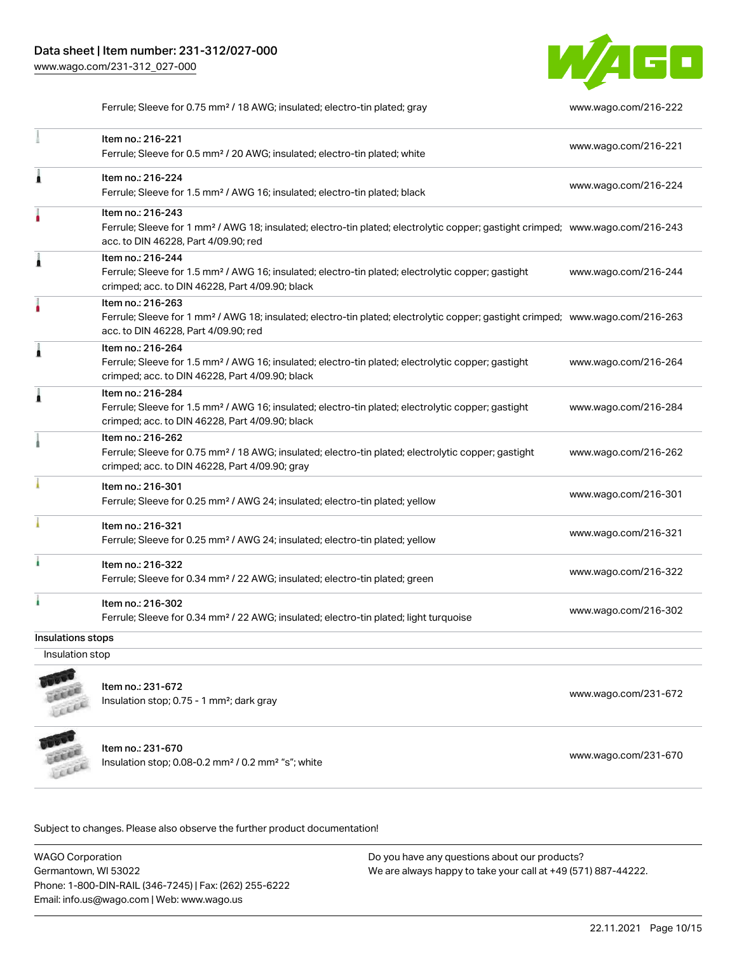

Ferrule; Sleeve for 0.75 mm² / 18 AWG; insulated; electro-tin plated; gray [www.wago.com/216-222](http://www.wago.com/216-222)

|                   | Item no.: 216-221<br>Ferrule; Sleeve for 0.5 mm <sup>2</sup> / 20 AWG; insulated; electro-tin plated; white                                                                                             | www.wago.com/216-221 |
|-------------------|---------------------------------------------------------------------------------------------------------------------------------------------------------------------------------------------------------|----------------------|
| Ă                 | Item no.: 216-224<br>Ferrule; Sleeve for 1.5 mm <sup>2</sup> / AWG 16; insulated; electro-tin plated; black                                                                                             | www.wago.com/216-224 |
|                   | Item no.: 216-243<br>Ferrule; Sleeve for 1 mm <sup>2</sup> / AWG 18; insulated; electro-tin plated; electrolytic copper; gastight crimped; www.wago.com/216-243<br>acc. to DIN 46228, Part 4/09.90; red |                      |
| Ă                 | Item no.: 216-244<br>Ferrule; Sleeve for 1.5 mm <sup>2</sup> / AWG 16; insulated; electro-tin plated; electrolytic copper; gastight<br>crimped; acc. to DIN 46228, Part 4/09.90; black                  | www.wago.com/216-244 |
|                   | Item no.: 216-263<br>Ferrule; Sleeve for 1 mm <sup>2</sup> / AWG 18; insulated; electro-tin plated; electrolytic copper; gastight crimped; www.wago.com/216-263<br>acc. to DIN 46228, Part 4/09.90; red |                      |
| Â                 | Item no.: 216-264<br>Ferrule; Sleeve for 1.5 mm <sup>2</sup> / AWG 16; insulated; electro-tin plated; electrolytic copper; gastight<br>crimped; acc. to DIN 46228, Part 4/09.90; black                  | www.wago.com/216-264 |
| Â                 | Item no.: 216-284<br>Ferrule; Sleeve for 1.5 mm <sup>2</sup> / AWG 16; insulated; electro-tin plated; electrolytic copper; gastight<br>crimped; acc. to DIN 46228, Part 4/09.90; black                  | www.wago.com/216-284 |
|                   | Item no.: 216-262<br>Ferrule; Sleeve for 0.75 mm <sup>2</sup> / 18 AWG; insulated; electro-tin plated; electrolytic copper; gastight<br>crimped; acc. to DIN 46228, Part 4/09.90; gray                  | www.wago.com/216-262 |
|                   | Item no.: 216-301<br>Ferrule; Sleeve for 0.25 mm <sup>2</sup> / AWG 24; insulated; electro-tin plated; yellow                                                                                           | www.wago.com/216-301 |
|                   | Item no.: 216-321<br>Ferrule; Sleeve for 0.25 mm <sup>2</sup> / AWG 24; insulated; electro-tin plated; yellow                                                                                           | www.wago.com/216-321 |
| ۸                 | Item no.: 216-322<br>Ferrule; Sleeve for 0.34 mm <sup>2</sup> / 22 AWG; insulated; electro-tin plated; green                                                                                            | www.wago.com/216-322 |
|                   | Item no.: 216-302<br>Ferrule; Sleeve for 0.34 mm <sup>2</sup> / 22 AWG; insulated; electro-tin plated; light turquoise                                                                                  | www.wago.com/216-302 |
| Insulations stops |                                                                                                                                                                                                         |                      |
|                   |                                                                                                                                                                                                         |                      |

Insulation stop



Item no.: 231-672 Insulation stop; 0.75 - 1 mm²; dark gray [www.wago.com/231-672](http://www.wago.com/231-672)



Item no.: 231-670

Insulation stop; 0.08-0.2 mm<sup>2</sup> / 0.2 mm<sup>2</sup> "s"; white [www.wago.com/231-670](http://www.wago.com/231-670) www.wago.com/231-670

Subject to changes. Please also observe the further product documentation!

WAGO Corporation Germantown, WI 53022 Phone: 1-800-DIN-RAIL (346-7245) | Fax: (262) 255-6222 Email: info.us@wago.com | Web: www.wago.us Do you have any questions about our products? We are always happy to take your call at +49 (571) 887-44222.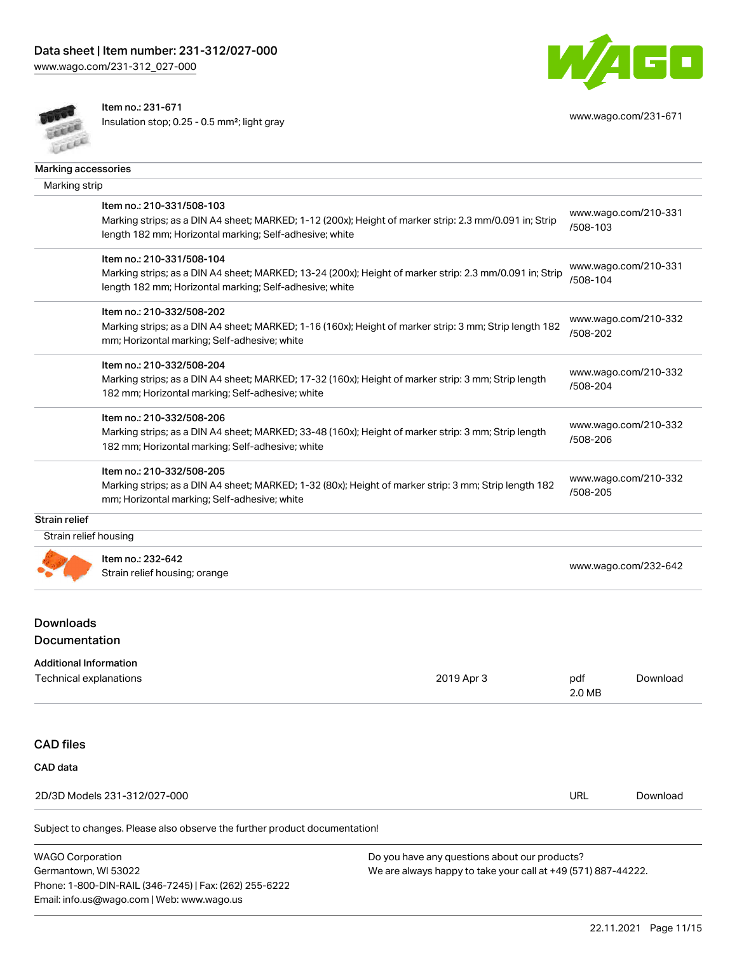[www.wago.com/231-312\\_027-000](http://www.wago.com/231-312_027-000)



Item no.: 231-671

Email: info.us@wago.com | Web: www.wago.us

Insulation stop; 0.25 - 0.5 mm²; light gray [www.wago.com/231-671](http://www.wago.com/231-671)



| Marking accessories                                                |                                                                                                                                                                                                 |                                                                                                                |                                  |                      |
|--------------------------------------------------------------------|-------------------------------------------------------------------------------------------------------------------------------------------------------------------------------------------------|----------------------------------------------------------------------------------------------------------------|----------------------------------|----------------------|
| Marking strip                                                      |                                                                                                                                                                                                 |                                                                                                                |                                  |                      |
|                                                                    | Item no.: 210-331/508-103<br>Marking strips; as a DIN A4 sheet; MARKED; 1-12 (200x); Height of marker strip: 2.3 mm/0.091 in; Strip<br>length 182 mm; Horizontal marking; Self-adhesive; white  |                                                                                                                | /508-103                         | www.wago.com/210-331 |
|                                                                    | Item no.: 210-331/508-104<br>Marking strips; as a DIN A4 sheet; MARKED; 13-24 (200x); Height of marker strip: 2.3 mm/0.091 in; Strip<br>length 182 mm; Horizontal marking; Self-adhesive; white |                                                                                                                | /508-104                         | www.wago.com/210-331 |
|                                                                    | Item no.: 210-332/508-202<br>Marking strips; as a DIN A4 sheet; MARKED; 1-16 (160x); Height of marker strip: 3 mm; Strip length 182<br>mm; Horizontal marking; Self-adhesive; white             |                                                                                                                | www.wago.com/210-332<br>/508-202 |                      |
|                                                                    | Item no.: 210-332/508-204<br>Marking strips; as a DIN A4 sheet; MARKED; 17-32 (160x); Height of marker strip: 3 mm; Strip length<br>182 mm; Horizontal marking; Self-adhesive; white            |                                                                                                                | /508-204                         | www.wago.com/210-332 |
|                                                                    | Item no.: 210-332/508-206<br>Marking strips; as a DIN A4 sheet; MARKED; 33-48 (160x); Height of marker strip: 3 mm; Strip length<br>182 mm; Horizontal marking; Self-adhesive; white            |                                                                                                                | /508-206                         | www.wago.com/210-332 |
|                                                                    | Item no.: 210-332/508-205<br>Marking strips; as a DIN A4 sheet; MARKED; 1-32 (80x); Height of marker strip: 3 mm; Strip length 182<br>mm; Horizontal marking; Self-adhesive; white              |                                                                                                                | /508-205                         | www.wago.com/210-332 |
| <b>Strain relief</b>                                               |                                                                                                                                                                                                 |                                                                                                                |                                  |                      |
| Strain relief housing                                              |                                                                                                                                                                                                 |                                                                                                                |                                  |                      |
|                                                                    | Item no.: 232-642<br>Strain relief housing; orange                                                                                                                                              |                                                                                                                | www.wago.com/232-642             |                      |
| <b>Downloads</b><br>Documentation<br><b>Additional Information</b> |                                                                                                                                                                                                 |                                                                                                                |                                  |                      |
| Technical explanations                                             |                                                                                                                                                                                                 | 2019 Apr 3                                                                                                     | pdf<br>2.0 MB                    | Download             |
| <b>CAD</b> files                                                   |                                                                                                                                                                                                 |                                                                                                                |                                  |                      |
| CAD data                                                           |                                                                                                                                                                                                 |                                                                                                                |                                  |                      |
|                                                                    | 2D/3D Models 231-312/027-000                                                                                                                                                                    |                                                                                                                | <b>URL</b>                       | Download             |
|                                                                    | Subject to changes. Please also observe the further product documentation!                                                                                                                      |                                                                                                                |                                  |                      |
| <b>WAGO Corporation</b><br>Germantown, WI 53022                    | Phone: 1-800-DIN-RAIL (346-7245)   Fax: (262) 255-6222                                                                                                                                          | Do you have any questions about our products?<br>We are always happy to take your call at +49 (571) 887-44222. |                                  |                      |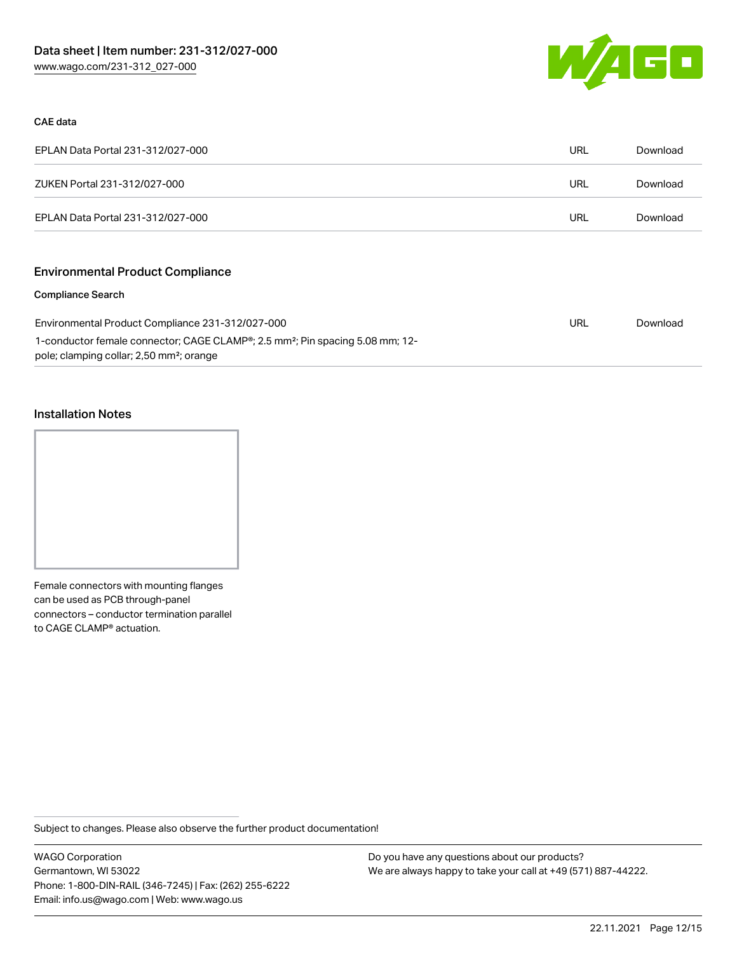

#### CAE data

| EPLAN Data Portal 231-312/027-000 | URL | Download |
|-----------------------------------|-----|----------|
| ZUKEN Portal 231-312/027-000      | URL | Download |
| EPLAN Data Portal 231-312/027-000 | URL | Download |

# Environmental Product Compliance

#### Compliance Search

| Environmental Product Compliance 231-312/027-000                                                       | URL | Download |
|--------------------------------------------------------------------------------------------------------|-----|----------|
| 1-conductor female connector; CAGE CLAMP <sup>®</sup> ; 2.5 mm <sup>2</sup> ; Pin spacing 5.08 mm; 12- |     |          |
| pole; clamping collar; 2,50 mm <sup>2</sup> ; orange                                                   |     |          |

#### Installation Notes



Female connectors with mounting flanges can be used as PCB through-panel connectors – conductor termination parallel to CAGE CLAMP® actuation.

Subject to changes. Please also observe the further product documentation!

WAGO Corporation Germantown, WI 53022 Phone: 1-800-DIN-RAIL (346-7245) | Fax: (262) 255-6222 Email: info.us@wago.com | Web: www.wago.us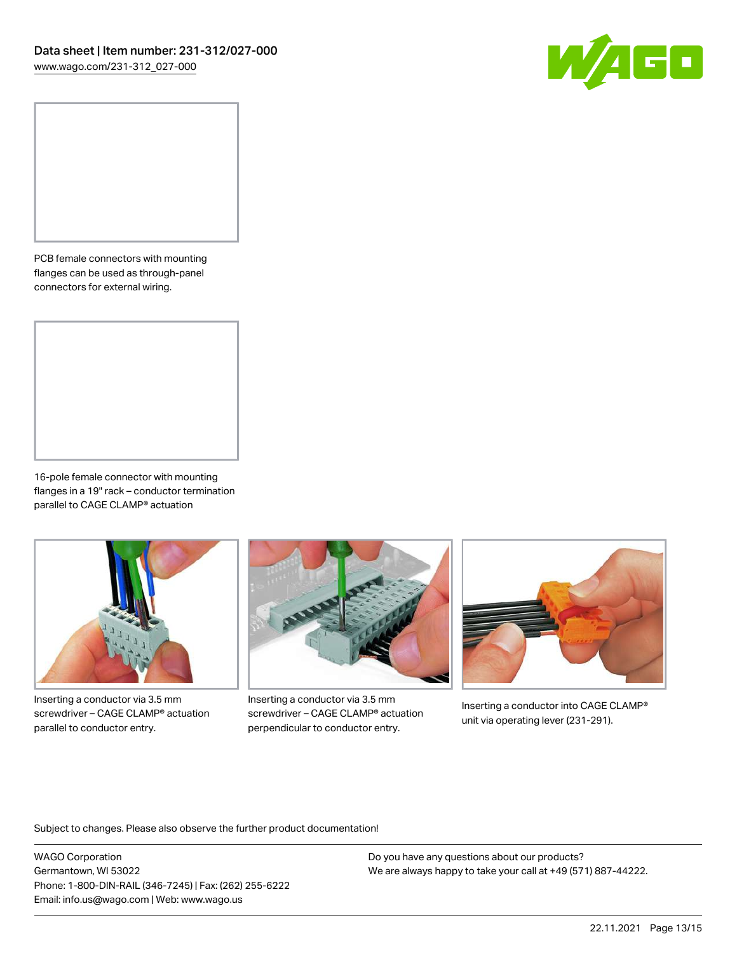

PCB female connectors with mounting flanges can be used as through-panel connectors for external wiring.

16-pole female connector with mounting flanges in a 19" rack – conductor termination parallel to CAGE CLAMP® actuation



Inserting a conductor via 3.5 mm screwdriver – CAGE CLAMP® actuation parallel to conductor entry.



Inserting a conductor via 3.5 mm screwdriver – CAGE CLAMP® actuation perpendicular to conductor entry.



Inserting a conductor into CAGE CLAMP® unit via operating lever (231-291).

Subject to changes. Please also observe the further product documentation!

WAGO Corporation Germantown, WI 53022 Phone: 1-800-DIN-RAIL (346-7245) | Fax: (262) 255-6222 Email: info.us@wago.com | Web: www.wago.us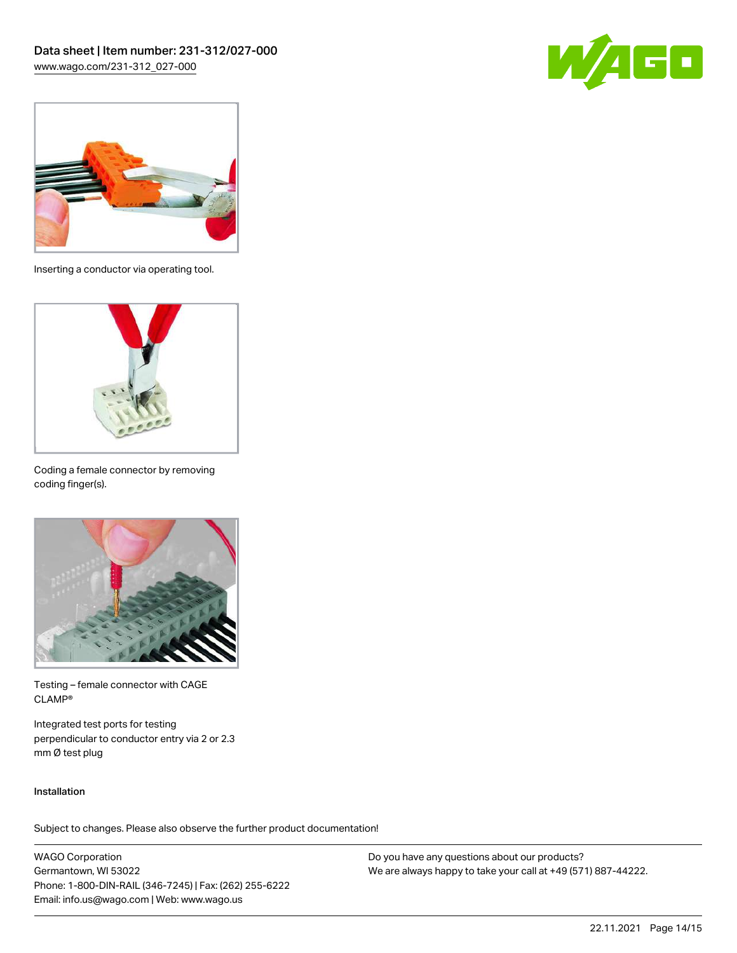



Inserting a conductor via operating tool.



Coding a female connector by removing coding finger(s).



Testing – female connector with CAGE CLAMP®

Integrated test ports for testing perpendicular to conductor entry via 2 or 2.3 mm Ø test plug

#### Installation

Subject to changes. Please also observe the further product documentation!

WAGO Corporation Germantown, WI 53022 Phone: 1-800-DIN-RAIL (346-7245) | Fax: (262) 255-6222 Email: info.us@wago.com | Web: www.wago.us